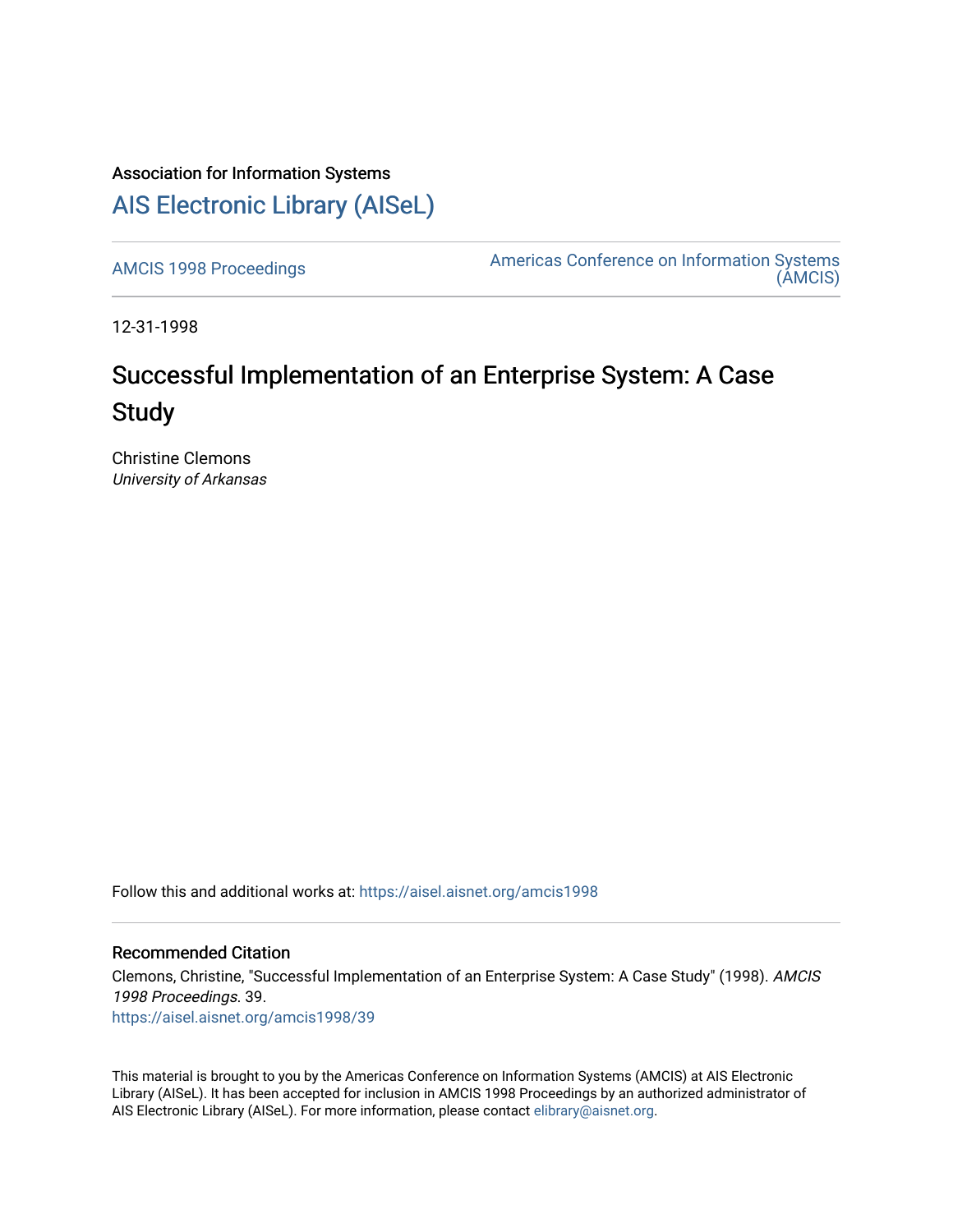## Association for Information Systems [AIS Electronic Library \(AISeL\)](https://aisel.aisnet.org/)

[AMCIS 1998 Proceedings](https://aisel.aisnet.org/amcis1998) **Americas Conference on Information Systems** [\(AMCIS\)](https://aisel.aisnet.org/amcis) 

12-31-1998

# Successful Implementation of an Enterprise System: A Case **Study**

Christine Clemons University of Arkansas

Follow this and additional works at: [https://aisel.aisnet.org/amcis1998](https://aisel.aisnet.org/amcis1998?utm_source=aisel.aisnet.org%2Famcis1998%2F39&utm_medium=PDF&utm_campaign=PDFCoverPages) 

### Recommended Citation

Clemons, Christine, "Successful Implementation of an Enterprise System: A Case Study" (1998). AMCIS 1998 Proceedings. 39. [https://aisel.aisnet.org/amcis1998/39](https://aisel.aisnet.org/amcis1998/39?utm_source=aisel.aisnet.org%2Famcis1998%2F39&utm_medium=PDF&utm_campaign=PDFCoverPages) 

This material is brought to you by the Americas Conference on Information Systems (AMCIS) at AIS Electronic Library (AISeL). It has been accepted for inclusion in AMCIS 1998 Proceedings by an authorized administrator of AIS Electronic Library (AISeL). For more information, please contact [elibrary@aisnet.org](mailto:elibrary@aisnet.org%3E).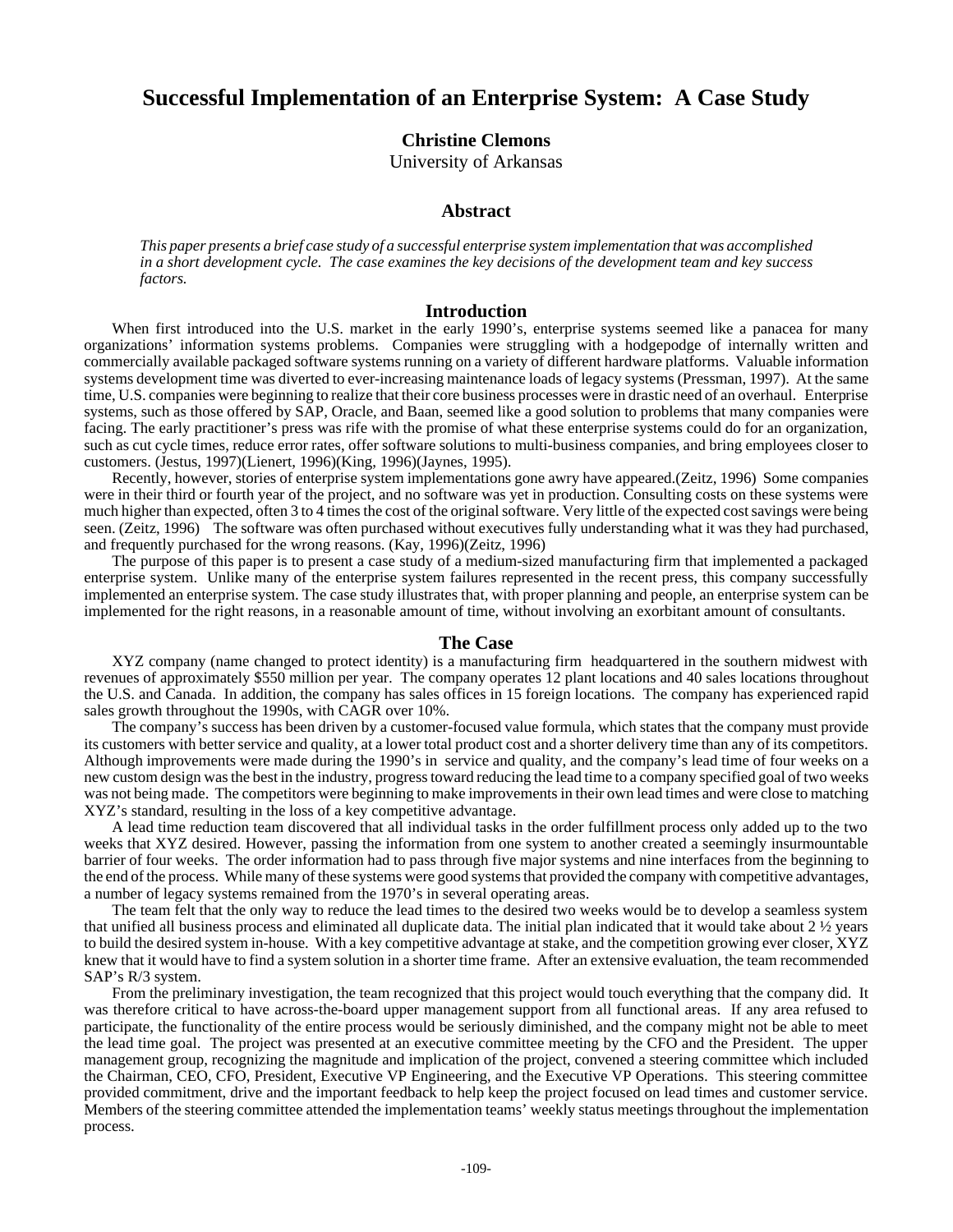## **Successful Implementation of an Enterprise System: A Case Study**

**Christine Clemons**

University of Arkansas

#### **Abstract**

*This paper presents a brief case study of a successful enterprise system implementation that was accomplished in a short development cycle. The case examines the key decisions of the development team and key success factors.*

#### **Introduction**

When first introduced into the U.S. market in the early 1990's, enterprise systems seemed like a panacea for many organizations' information systems problems. Companies were struggling with a hodgepodge of internally written and commercially available packaged software systems running on a variety of different hardware platforms. Valuable information systems development time was diverted to ever-increasing maintenance loads of legacy systems (Pressman, 1997). At the same time, U.S. companies were beginning to realize that their core business processes were in drastic need of an overhaul. Enterprise systems, such as those offered by SAP, Oracle, and Baan, seemed like a good solution to problems that many companies were facing. The early practitioner's press was rife with the promise of what these enterprise systems could do for an organization, such as cut cycle times, reduce error rates, offer software solutions to multi-business companies, and bring employees closer to customers. (Jestus, 1997)(Lienert, 1996)(King, 1996)(Jaynes, 1995).

Recently, however, stories of enterprise system implementations gone awry have appeared.(Zeitz, 1996) Some companies were in their third or fourth year of the project, and no software was yet in production. Consulting costs on these systems were much higher than expected, often 3 to 4 times the cost of the original software. Very little of the expected cost savings were being seen. (Zeitz, 1996) The software was often purchased without executives fully understanding what it was they had purchased, and frequently purchased for the wrong reasons. (Kay, 1996)(Zeitz, 1996)

The purpose of this paper is to present a case study of a medium-sized manufacturing firm that implemented a packaged enterprise system. Unlike many of the enterprise system failures represented in the recent press, this company successfully implemented an enterprise system. The case study illustrates that, with proper planning and people, an enterprise system can be implemented for the right reasons, in a reasonable amount of time, without involving an exorbitant amount of consultants.

#### **The Case**

XYZ company (name changed to protect identity) is a manufacturing firm headquartered in the southern midwest with revenues of approximately \$550 million per year. The company operates 12 plant locations and 40 sales locations throughout the U.S. and Canada. In addition, the company has sales offices in 15 foreign locations. The company has experienced rapid sales growth throughout the 1990s, with CAGR over 10%.

The company's success has been driven by a customer-focused value formula, which states that the company must provide its customers with better service and quality, at a lower total product cost and a shorter delivery time than any of its competitors. Although improvements were made during the 1990's in service and quality, and the company's lead time of four weeks on a new custom design was the best in the industry, progress toward reducing the lead time to a company specified goal of two weeks was not being made. The competitors were beginning to make improvements in their own lead times and were close to matching XYZ's standard, resulting in the loss of a key competitive advantage.

A lead time reduction team discovered that all individual tasks in the order fulfillment process only added up to the two weeks that XYZ desired. However, passing the information from one system to another created a seemingly insurmountable barrier of four weeks. The order information had to pass through five major systems and nine interfaces from the beginning to the end of the process. While many of these systems were good systems that provided the company with competitive advantages, a number of legacy systems remained from the 1970's in several operating areas.

The team felt that the only way to reduce the lead times to the desired two weeks would be to develop a seamless system that unified all business process and eliminated all duplicate data. The initial plan indicated that it would take about 2 ½ years to build the desired system in-house. With a key competitive advantage at stake, and the competition growing ever closer, XYZ knew that it would have to find a system solution in a shorter time frame. After an extensive evaluation, the team recommended SAP's R/3 system.

From the preliminary investigation, the team recognized that this project would touch everything that the company did. It was therefore critical to have across-the-board upper management support from all functional areas. If any area refused to participate, the functionality of the entire process would be seriously diminished, and the company might not be able to meet the lead time goal. The project was presented at an executive committee meeting by the CFO and the President. The upper management group, recognizing the magnitude and implication of the project, convened a steering committee which included the Chairman, CEO, CFO, President, Executive VP Engineering, and the Executive VP Operations. This steering committee provided commitment, drive and the important feedback to help keep the project focused on lead times and customer service. Members of the steering committee attended the implementation teams' weekly status meetings throughout the implementation process.